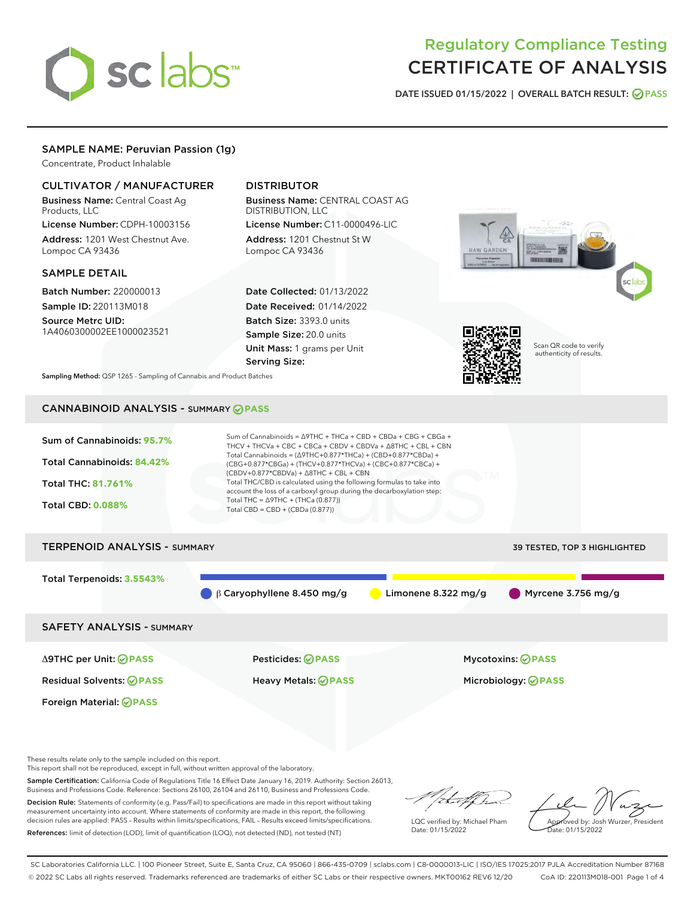# sclabs<sup>\*</sup>

# Regulatory Compliance Testing CERTIFICATE OF ANALYSIS

DATE ISSUED 01/15/2022 | OVERALL BATCH RESULT: @ PASS

# SAMPLE NAME: Peruvian Passion (1g)

Concentrate, Product Inhalable

## CULTIVATOR / MANUFACTURER

Business Name: Central Coast Ag Products, LLC License Number: CDPH-10003156

Address: 1201 West Chestnut Ave. Lompoc CA 93436

#### SAMPLE DETAIL

Batch Number: 220000013 Sample ID: 220113M018

Source Metrc UID: 1A4060300002EE1000023521

# DISTRIBUTOR

Business Name: CENTRAL COAST AG DISTRIBUTION, LLC

License Number: C11-0000496-LIC Address: 1201 Chestnut St W Lompoc CA 93436

Date Collected: 01/13/2022 Date Received: 01/14/2022 Batch Size: 3393.0 units Sample Size: 20.0 units Unit Mass: 1 grams per Unit Serving Size:





Scan QR code to verify authenticity of results.

Sampling Method: QSP 1265 - Sampling of Cannabis and Product Batches

# CANNABINOID ANALYSIS - SUMMARY **PASS**



These results relate only to the sample included on this report.

This report shall not be reproduced, except in full, without written approval of the laboratory.

Sample Certification: California Code of Regulations Title 16 Effect Date January 16, 2019. Authority: Section 26013, Business and Professions Code. Reference: Sections 26100, 26104 and 26110, Business and Professions Code.

Decision Rule: Statements of conformity (e.g. Pass/Fail) to specifications are made in this report without taking measurement uncertainty into account. Where statements of conformity are made in this report, the following decision rules are applied: PASS – Results within limits/specifications, FAIL – Results exceed limits/specifications. References: limit of detection (LOD), limit of quantification (LOQ), not detected (ND), not tested (NT)

that for

LQC verified by: Michael Pham Date: 01/15/2022

Approved by: Josh Wurzer, President ate: 01/15/2022

SC Laboratories California LLC. | 100 Pioneer Street, Suite E, Santa Cruz, CA 95060 | 866-435-0709 | sclabs.com | C8-0000013-LIC | ISO/IES 17025:2017 PJLA Accreditation Number 87168 © 2022 SC Labs all rights reserved. Trademarks referenced are trademarks of either SC Labs or their respective owners. MKT00162 REV6 12/20 CoA ID: 220113M018-001 Page 1 of 4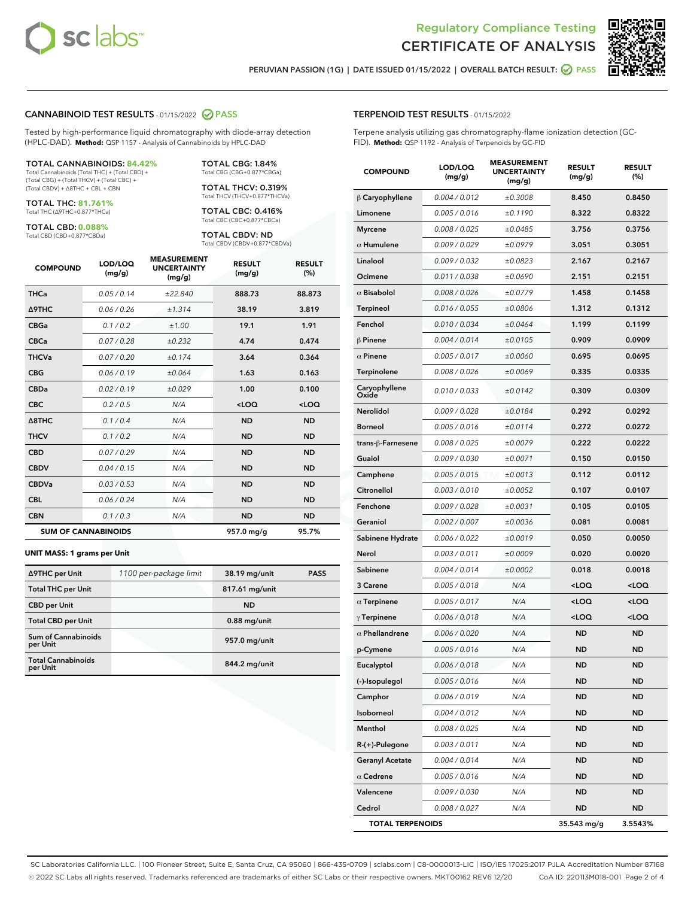



PERUVIAN PASSION (1G) | DATE ISSUED 01/15/2022 | OVERALL BATCH RESULT: @ PASS

#### CANNABINOID TEST RESULTS - 01/15/2022 2 PASS

Tested by high-performance liquid chromatography with diode-array detection (HPLC-DAD). **Method:** QSP 1157 - Analysis of Cannabinoids by HPLC-DAD

#### TOTAL CANNABINOIDS: **84.42%**

Total Cannabinoids (Total THC) + (Total CBD) + (Total CBG) + (Total THCV) + (Total CBC) + (Total CBDV) + ∆8THC + CBL + CBN

TOTAL THC: **81.761%** Total THC (∆9THC+0.877\*THCa)

TOTAL CBD: **0.088%**

Total CBD (CBD+0.877\*CBDa)

TOTAL CBG: 1.84% Total CBG (CBG+0.877\*CBGa)

TOTAL THCV: 0.319% Total THCV (THCV+0.877\*THCVa)

TOTAL CBC: 0.416% Total CBC (CBC+0.877\*CBCa)

TOTAL CBDV: ND Total CBDV (CBDV+0.877\*CBDVa)

| <b>COMPOUND</b>  | LOD/LOQ<br>(mg/g)          | <b>MEASUREMENT</b><br><b>UNCERTAINTY</b><br>(mg/g) | <b>RESULT</b><br>(mg/g) | <b>RESULT</b><br>(%) |
|------------------|----------------------------|----------------------------------------------------|-------------------------|----------------------|
| <b>THCa</b>      | 0.05 / 0.14                | ±22.840                                            | 888.73                  | 88.873               |
| <b>A9THC</b>     | 0.06 / 0.26                | ±1.314                                             | 38.19                   | 3.819                |
| <b>CBGa</b>      | 0.1 / 0.2                  | ±1.00                                              | 19.1                    | 1.91                 |
| <b>CBCa</b>      | 0.07 / 0.28                | ±0.232                                             | 4.74                    | 0.474                |
| <b>THCVa</b>     | 0.07/0.20                  | ±0.174                                             | 3.64                    | 0.364                |
| <b>CBG</b>       | 0.06/0.19                  | ±0.064                                             | 1.63                    | 0.163                |
| <b>CBDa</b>      | 0.02/0.19                  | ±0.029                                             | 1.00                    | 0.100                |
| <b>CBC</b>       | 0.2 / 0.5                  | N/A                                                | $<$ LOQ                 | $<$ LOQ              |
| $\triangle$ 8THC | 0.1/0.4                    | N/A                                                | <b>ND</b>               | <b>ND</b>            |
| <b>THCV</b>      | 0.1/0.2                    | N/A                                                | <b>ND</b>               | <b>ND</b>            |
| <b>CBD</b>       | 0.07/0.29                  | N/A                                                | <b>ND</b>               | <b>ND</b>            |
| <b>CBDV</b>      | 0.04 / 0.15                | N/A                                                | <b>ND</b>               | <b>ND</b>            |
| <b>CBDVa</b>     | 0.03 / 0.53                | N/A                                                | <b>ND</b>               | <b>ND</b>            |
| <b>CBL</b>       | 0.06 / 0.24                | N/A                                                | <b>ND</b>               | <b>ND</b>            |
| <b>CBN</b>       | 0.1/0.3                    | N/A                                                | <b>ND</b>               | <b>ND</b>            |
|                  | <b>SUM OF CANNABINOIDS</b> |                                                    | 957.0 mg/g              | 95.7%                |

#### **UNIT MASS: 1 grams per Unit**

| ∆9THC per Unit                        | 1100 per-package limit | 38.19 mg/unit  | <b>PASS</b> |
|---------------------------------------|------------------------|----------------|-------------|
| <b>Total THC per Unit</b>             |                        | 817.61 mg/unit |             |
| <b>CBD</b> per Unit                   |                        | <b>ND</b>      |             |
| <b>Total CBD per Unit</b>             |                        | $0.88$ mg/unit |             |
| Sum of Cannabinoids<br>per Unit       |                        | 957.0 mg/unit  |             |
| <b>Total Cannabinoids</b><br>per Unit |                        | 844.2 mg/unit  |             |

# TERPENOID TEST RESULTS - 01/15/2022

Terpene analysis utilizing gas chromatography-flame ionization detection (GC-FID). **Method:** QSP 1192 - Analysis of Terpenoids by GC-FID

| <b>COMPOUND</b>         | LOD/LOQ<br>(mg/g) | <b>MEASUREMENT</b><br><b>UNCERTAINTY</b><br>(mg/g) | <b>RESULT</b><br>(mg/g)                         | <b>RESULT</b><br>(%) |
|-------------------------|-------------------|----------------------------------------------------|-------------------------------------------------|----------------------|
| $\beta$ Caryophyllene   | 0.004 / 0.012     | ±0.3008                                            | 8.450                                           | 0.8450               |
| Limonene                | 0.005 / 0.016     | ±0.1190                                            | 8.322                                           | 0.8322               |
| <b>Myrcene</b>          | 0.008 / 0.025     | ±0.0485                                            | 3.756                                           | 0.3756               |
| $\alpha$ Humulene       | 0.009 / 0.029     | ±0.0979                                            | 3.051                                           | 0.3051               |
| Linalool                | 0.009 / 0.032     | ±0.0823                                            | 2.167                                           | 0.2167               |
| Ocimene                 | 0.011 / 0.038     | ±0.0690                                            | 2.151                                           | 0.2151               |
| $\alpha$ Bisabolol      | 0.008 / 0.026     | ±0.0779                                            | 1.458                                           | 0.1458               |
| <b>Terpineol</b>        | 0.016 / 0.055     | ±0.0806                                            | 1.312                                           | 0.1312               |
| Fenchol                 | 0.010 / 0.034     | ±0.0464                                            | 1.199                                           | 0.1199               |
| $\beta$ Pinene          | 0.004 / 0.014     | ±0.0105                                            | 0.909                                           | 0.0909               |
| $\alpha$ Pinene         | 0.005 / 0.017     | ±0.0060                                            | 0.695                                           | 0.0695               |
| Terpinolene             | 0.008 / 0.026     | ±0.0069                                            | 0.335                                           | 0.0335               |
| Caryophyllene<br>Oxide  | 0.010 / 0.033     | ±0.0142                                            | 0.309                                           | 0.0309               |
| <b>Nerolidol</b>        | 0.009 / 0.028     | ±0.0184                                            | 0.292                                           | 0.0292               |
| <b>Borneol</b>          | 0.005 / 0.016     | ±0.0114                                            | 0.272                                           | 0.0272               |
| trans-ß-Farnesene       | 0.008 / 0.025     | ±0.0079                                            | 0.222                                           | 0.0222               |
| Guaiol                  | 0.009 / 0.030     | ±0.0071                                            | 0.150                                           | 0.0150               |
| Camphene                | 0.005 / 0.015     | ±0.0013                                            | 0.112                                           | 0.0112               |
| Citronellol             | 0.003 / 0.010     | ±0.0052                                            | 0.107                                           | 0.0107               |
| Fenchone                | 0.009 / 0.028     | ±0.0031                                            | 0.105                                           | 0.0105               |
| Geraniol                | 0.002 / 0.007     | ±0.0036                                            | 0.081                                           | 0.0081               |
| Sabinene Hydrate        | 0.006 / 0.022     | ±0.0019                                            | 0.050                                           | 0.0050               |
| Nerol                   | 0.003 / 0.011     | ±0.0009                                            | 0.020                                           | 0.0020               |
| Sabinene                | 0.004 / 0.014     | ±0.0002                                            | 0.018                                           | 0.0018               |
| 3 Carene                | 0.005 / 0.018     | N/A                                                | <loq< th=""><th><loq< th=""></loq<></th></loq<> | <loq< th=""></loq<>  |
| $\alpha$ Terpinene      | 0.005 / 0.017     | N/A                                                | <loq< th=""><th><loq< th=""></loq<></th></loq<> | <loq< th=""></loq<>  |
| $\gamma$ Terpinene      | 0.006 / 0.018     | N/A                                                | $<$ LOQ                                         | $<$ LOQ              |
| $\alpha$ Phellandrene   | 0.006 / 0.020     | N/A                                                | ND                                              | <b>ND</b>            |
| p-Cymene                | 0.005 / 0.016     | N/A                                                | ND                                              | ND                   |
| Eucalyptol              | 0.006 / 0.018     | N/A                                                | <b>ND</b>                                       | <b>ND</b>            |
| (-)-Isopulegol          | 0.005 / 0.016     | N/A                                                | ND                                              | ND                   |
| Camphor                 | 0.006 / 0.019     | N/A                                                | ND                                              | ND                   |
| Isoborneol              | 0.004 / 0.012     | N/A                                                | <b>ND</b>                                       | <b>ND</b>            |
| Menthol                 | 0.008 / 0.025     | N/A                                                | <b>ND</b>                                       | ND                   |
| R-(+)-Pulegone          | 0.003 / 0.011     | N/A                                                | ND                                              | ND                   |
| <b>Geranyl Acetate</b>  | 0.004 / 0.014     | N/A                                                | ND                                              | <b>ND</b>            |
| $\alpha$ Cedrene        | 0.005 / 0.016     | N/A                                                | <b>ND</b>                                       | ND                   |
| Valencene               | 0.009 / 0.030     | N/A                                                | ND                                              | ND                   |
| Cedrol                  | 0.008 / 0.027     | N/A                                                | <b>ND</b>                                       | ND                   |
| <b>TOTAL TERPENOIDS</b> |                   |                                                    | 35.543 mg/g                                     | 3.5543%              |

SC Laboratories California LLC. | 100 Pioneer Street, Suite E, Santa Cruz, CA 95060 | 866-435-0709 | sclabs.com | C8-0000013-LIC | ISO/IES 17025:2017 PJLA Accreditation Number 87168 © 2022 SC Labs all rights reserved. Trademarks referenced are trademarks of either SC Labs or their respective owners. MKT00162 REV6 12/20 CoA ID: 220113M018-001 Page 2 of 4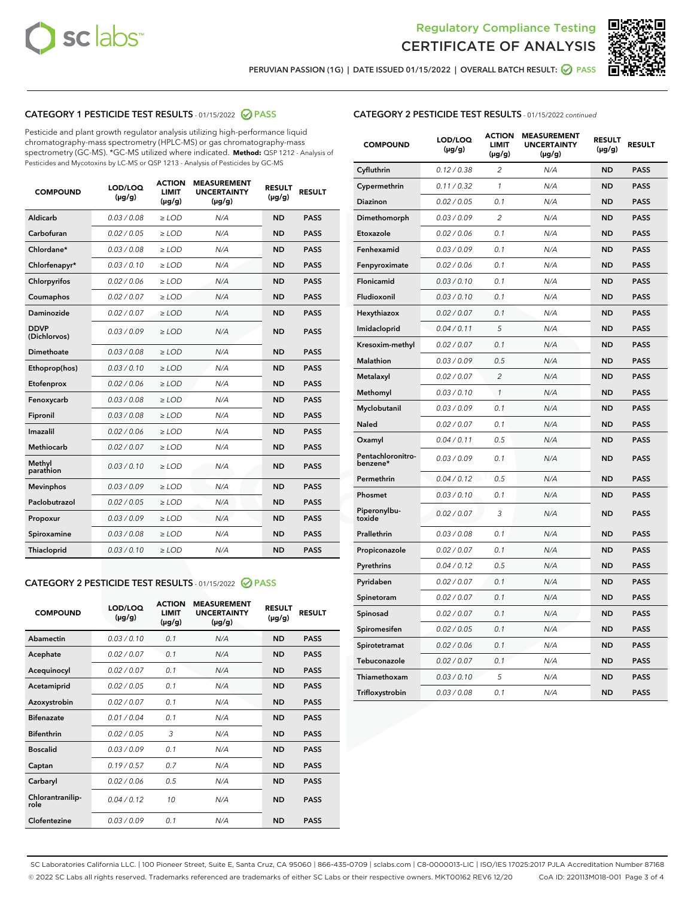



PERUVIAN PASSION (1G) | DATE ISSUED 01/15/2022 | OVERALL BATCH RESULT: @ PASS

# CATEGORY 1 PESTICIDE TEST RESULTS - 01/15/2022 2 PASS

Pesticide and plant growth regulator analysis utilizing high-performance liquid chromatography-mass spectrometry (HPLC-MS) or gas chromatography-mass spectrometry (GC-MS). \*GC-MS utilized where indicated. **Method:** QSP 1212 - Analysis of Pesticides and Mycotoxins by LC-MS or QSP 1213 - Analysis of Pesticides by GC-MS

| <b>Aldicarb</b><br>0.03 / 0.08<br><b>ND</b><br>$\ge$ LOD<br>N/A<br><b>PASS</b><br>Carbofuran<br>0.02/0.05<br>$\ge$ LOD<br>N/A<br><b>ND</b><br><b>PASS</b><br>Chlordane*<br>0.03 / 0.08<br><b>ND</b><br>$>$ LOD<br>N/A<br><b>PASS</b><br>0.03/0.10<br><b>ND</b><br><b>PASS</b><br>Chlorfenapyr*<br>$\geq$ LOD<br>N/A<br>0.02 / 0.06<br>N/A<br><b>ND</b><br><b>PASS</b><br>Chlorpyrifos<br>$\geq$ LOD<br>0.02 / 0.07<br>N/A<br><b>ND</b><br><b>PASS</b><br>Coumaphos<br>$>$ LOD<br>Daminozide<br>0.02 / 0.07<br>$\ge$ LOD<br>N/A<br><b>ND</b><br><b>PASS</b><br><b>DDVP</b><br>0.03/0.09<br>$\ge$ LOD<br>N/A<br><b>ND</b><br><b>PASS</b><br>(Dichlorvos)<br>Dimethoate<br><b>ND</b><br><b>PASS</b><br>0.03 / 0.08<br>$>$ LOD<br>N/A<br>0.03/0.10<br>Ethoprop(hos)<br>$\ge$ LOD<br>N/A<br><b>ND</b><br><b>PASS</b><br>0.02 / 0.06<br>$\ge$ LOD<br>N/A<br><b>ND</b><br><b>PASS</b><br>Etofenprox<br>Fenoxycarb<br>0.03 / 0.08<br>$>$ LOD<br>N/A<br><b>ND</b><br><b>PASS</b><br>0.03 / 0.08<br><b>ND</b><br><b>PASS</b><br>Fipronil<br>$\ge$ LOD<br>N/A<br>Imazalil<br>0.02 / 0.06<br>$>$ LOD<br>N/A<br><b>ND</b><br><b>PASS</b><br>0.02 / 0.07<br>Methiocarb<br>N/A<br><b>ND</b><br>$>$ LOD<br><b>PASS</b><br>Methyl<br>0.03/0.10<br>$\ge$ LOD<br>N/A<br><b>ND</b><br><b>PASS</b><br>parathion<br>0.03/0.09<br>$\ge$ LOD<br>N/A<br><b>ND</b><br><b>PASS</b><br><b>Mevinphos</b><br>Paclobutrazol<br>0.02 / 0.05<br>$\ge$ LOD<br>N/A<br><b>ND</b><br><b>PASS</b><br>0.03/0.09<br>N/A<br>$\ge$ LOD<br><b>ND</b><br><b>PASS</b><br>Propoxur<br>0.03 / 0.08<br><b>ND</b><br><b>PASS</b><br>Spiroxamine<br>$\ge$ LOD<br>N/A<br><b>PASS</b><br>Thiacloprid<br>0.03/0.10<br>$\ge$ LOD<br>N/A<br><b>ND</b> | <b>COMPOUND</b> | LOD/LOQ<br>$(\mu g/g)$ | <b>ACTION</b><br>LIMIT<br>$(\mu g/g)$ | <b>MEASUREMENT</b><br><b>UNCERTAINTY</b><br>$(\mu g/g)$ | <b>RESULT</b><br>$(\mu g/g)$ | <b>RESULT</b> |
|------------------------------------------------------------------------------------------------------------------------------------------------------------------------------------------------------------------------------------------------------------------------------------------------------------------------------------------------------------------------------------------------------------------------------------------------------------------------------------------------------------------------------------------------------------------------------------------------------------------------------------------------------------------------------------------------------------------------------------------------------------------------------------------------------------------------------------------------------------------------------------------------------------------------------------------------------------------------------------------------------------------------------------------------------------------------------------------------------------------------------------------------------------------------------------------------------------------------------------------------------------------------------------------------------------------------------------------------------------------------------------------------------------------------------------------------------------------------------------------------------------------------------------------------------------------------------------------------------------------------------------------------------------------------------------------------|-----------------|------------------------|---------------------------------------|---------------------------------------------------------|------------------------------|---------------|
|                                                                                                                                                                                                                                                                                                                                                                                                                                                                                                                                                                                                                                                                                                                                                                                                                                                                                                                                                                                                                                                                                                                                                                                                                                                                                                                                                                                                                                                                                                                                                                                                                                                                                                |                 |                        |                                       |                                                         |                              |               |
|                                                                                                                                                                                                                                                                                                                                                                                                                                                                                                                                                                                                                                                                                                                                                                                                                                                                                                                                                                                                                                                                                                                                                                                                                                                                                                                                                                                                                                                                                                                                                                                                                                                                                                |                 |                        |                                       |                                                         |                              |               |
|                                                                                                                                                                                                                                                                                                                                                                                                                                                                                                                                                                                                                                                                                                                                                                                                                                                                                                                                                                                                                                                                                                                                                                                                                                                                                                                                                                                                                                                                                                                                                                                                                                                                                                |                 |                        |                                       |                                                         |                              |               |
|                                                                                                                                                                                                                                                                                                                                                                                                                                                                                                                                                                                                                                                                                                                                                                                                                                                                                                                                                                                                                                                                                                                                                                                                                                                                                                                                                                                                                                                                                                                                                                                                                                                                                                |                 |                        |                                       |                                                         |                              |               |
|                                                                                                                                                                                                                                                                                                                                                                                                                                                                                                                                                                                                                                                                                                                                                                                                                                                                                                                                                                                                                                                                                                                                                                                                                                                                                                                                                                                                                                                                                                                                                                                                                                                                                                |                 |                        |                                       |                                                         |                              |               |
|                                                                                                                                                                                                                                                                                                                                                                                                                                                                                                                                                                                                                                                                                                                                                                                                                                                                                                                                                                                                                                                                                                                                                                                                                                                                                                                                                                                                                                                                                                                                                                                                                                                                                                |                 |                        |                                       |                                                         |                              |               |
|                                                                                                                                                                                                                                                                                                                                                                                                                                                                                                                                                                                                                                                                                                                                                                                                                                                                                                                                                                                                                                                                                                                                                                                                                                                                                                                                                                                                                                                                                                                                                                                                                                                                                                |                 |                        |                                       |                                                         |                              |               |
|                                                                                                                                                                                                                                                                                                                                                                                                                                                                                                                                                                                                                                                                                                                                                                                                                                                                                                                                                                                                                                                                                                                                                                                                                                                                                                                                                                                                                                                                                                                                                                                                                                                                                                |                 |                        |                                       |                                                         |                              |               |
|                                                                                                                                                                                                                                                                                                                                                                                                                                                                                                                                                                                                                                                                                                                                                                                                                                                                                                                                                                                                                                                                                                                                                                                                                                                                                                                                                                                                                                                                                                                                                                                                                                                                                                |                 |                        |                                       |                                                         |                              |               |
|                                                                                                                                                                                                                                                                                                                                                                                                                                                                                                                                                                                                                                                                                                                                                                                                                                                                                                                                                                                                                                                                                                                                                                                                                                                                                                                                                                                                                                                                                                                                                                                                                                                                                                |                 |                        |                                       |                                                         |                              |               |
|                                                                                                                                                                                                                                                                                                                                                                                                                                                                                                                                                                                                                                                                                                                                                                                                                                                                                                                                                                                                                                                                                                                                                                                                                                                                                                                                                                                                                                                                                                                                                                                                                                                                                                |                 |                        |                                       |                                                         |                              |               |
|                                                                                                                                                                                                                                                                                                                                                                                                                                                                                                                                                                                                                                                                                                                                                                                                                                                                                                                                                                                                                                                                                                                                                                                                                                                                                                                                                                                                                                                                                                                                                                                                                                                                                                |                 |                        |                                       |                                                         |                              |               |
|                                                                                                                                                                                                                                                                                                                                                                                                                                                                                                                                                                                                                                                                                                                                                                                                                                                                                                                                                                                                                                                                                                                                                                                                                                                                                                                                                                                                                                                                                                                                                                                                                                                                                                |                 |                        |                                       |                                                         |                              |               |
|                                                                                                                                                                                                                                                                                                                                                                                                                                                                                                                                                                                                                                                                                                                                                                                                                                                                                                                                                                                                                                                                                                                                                                                                                                                                                                                                                                                                                                                                                                                                                                                                                                                                                                |                 |                        |                                       |                                                         |                              |               |
|                                                                                                                                                                                                                                                                                                                                                                                                                                                                                                                                                                                                                                                                                                                                                                                                                                                                                                                                                                                                                                                                                                                                                                                                                                                                                                                                                                                                                                                                                                                                                                                                                                                                                                |                 |                        |                                       |                                                         |                              |               |
|                                                                                                                                                                                                                                                                                                                                                                                                                                                                                                                                                                                                                                                                                                                                                                                                                                                                                                                                                                                                                                                                                                                                                                                                                                                                                                                                                                                                                                                                                                                                                                                                                                                                                                |                 |                        |                                       |                                                         |                              |               |
|                                                                                                                                                                                                                                                                                                                                                                                                                                                                                                                                                                                                                                                                                                                                                                                                                                                                                                                                                                                                                                                                                                                                                                                                                                                                                                                                                                                                                                                                                                                                                                                                                                                                                                |                 |                        |                                       |                                                         |                              |               |
|                                                                                                                                                                                                                                                                                                                                                                                                                                                                                                                                                                                                                                                                                                                                                                                                                                                                                                                                                                                                                                                                                                                                                                                                                                                                                                                                                                                                                                                                                                                                                                                                                                                                                                |                 |                        |                                       |                                                         |                              |               |
|                                                                                                                                                                                                                                                                                                                                                                                                                                                                                                                                                                                                                                                                                                                                                                                                                                                                                                                                                                                                                                                                                                                                                                                                                                                                                                                                                                                                                                                                                                                                                                                                                                                                                                |                 |                        |                                       |                                                         |                              |               |
|                                                                                                                                                                                                                                                                                                                                                                                                                                                                                                                                                                                                                                                                                                                                                                                                                                                                                                                                                                                                                                                                                                                                                                                                                                                                                                                                                                                                                                                                                                                                                                                                                                                                                                |                 |                        |                                       |                                                         |                              |               |
|                                                                                                                                                                                                                                                                                                                                                                                                                                                                                                                                                                                                                                                                                                                                                                                                                                                                                                                                                                                                                                                                                                                                                                                                                                                                                                                                                                                                                                                                                                                                                                                                                                                                                                |                 |                        |                                       |                                                         |                              |               |

#### CATEGORY 2 PESTICIDE TEST RESULTS - 01/15/2022 2 PASS

| <b>COMPOUND</b>          | LOD/LOQ<br>$(\mu g/g)$ | <b>ACTION</b><br><b>LIMIT</b><br>$(\mu g/g)$ | <b>MEASUREMENT</b><br><b>UNCERTAINTY</b><br>$(\mu g/g)$ | <b>RESULT</b><br>$(\mu g/g)$ | <b>RESULT</b> |
|--------------------------|------------------------|----------------------------------------------|---------------------------------------------------------|------------------------------|---------------|
| Abamectin                | 0.03/0.10              | 0.1                                          | N/A                                                     | <b>ND</b>                    | <b>PASS</b>   |
| Acephate                 | 0.02/0.07              | 0.1                                          | N/A                                                     | <b>ND</b>                    | <b>PASS</b>   |
| Acequinocyl              | 0.02/0.07              | 0.1                                          | N/A                                                     | <b>ND</b>                    | <b>PASS</b>   |
| Acetamiprid              | 0.02/0.05              | 0.1                                          | N/A                                                     | <b>ND</b>                    | <b>PASS</b>   |
| Azoxystrobin             | 0.02/0.07              | 0.1                                          | N/A                                                     | <b>ND</b>                    | <b>PASS</b>   |
| <b>Bifenazate</b>        | 0.01/0.04              | 0.1                                          | N/A                                                     | <b>ND</b>                    | <b>PASS</b>   |
| <b>Bifenthrin</b>        | 0.02 / 0.05            | 3                                            | N/A                                                     | <b>ND</b>                    | <b>PASS</b>   |
| <b>Boscalid</b>          | 0.03/0.09              | 0.1                                          | N/A                                                     | <b>ND</b>                    | <b>PASS</b>   |
| Captan                   | 0.19/0.57              | 0.7                                          | N/A                                                     | <b>ND</b>                    | <b>PASS</b>   |
| Carbaryl                 | 0.02/0.06              | 0.5                                          | N/A                                                     | <b>ND</b>                    | <b>PASS</b>   |
| Chlorantranilip-<br>role | 0.04/0.12              | 10                                           | N/A                                                     | <b>ND</b>                    | <b>PASS</b>   |
| Clofentezine             | 0.03/0.09              | 0.1                                          | N/A                                                     | <b>ND</b>                    | <b>PASS</b>   |

# CATEGORY 2 PESTICIDE TEST RESULTS - 01/15/2022 continued

| <b>COMPOUND</b>               | LOD/LOQ<br>(µg/g) | <b>ACTION</b><br><b>LIMIT</b><br>$(\mu g/g)$ | <b>MEASUREMENT</b><br><b>UNCERTAINTY</b><br>$(\mu g/g)$ | <b>RESULT</b><br>(µg/g) | <b>RESULT</b> |
|-------------------------------|-------------------|----------------------------------------------|---------------------------------------------------------|-------------------------|---------------|
| Cyfluthrin                    | 0.12 / 0.38       | $\overline{c}$                               | N/A                                                     | <b>ND</b>               | <b>PASS</b>   |
| Cypermethrin                  | 0.11 / 0.32       | 1                                            | N/A                                                     | ND                      | <b>PASS</b>   |
| Diazinon                      | 0.02 / 0.05       | 0.1                                          | N/A                                                     | ND                      | <b>PASS</b>   |
| Dimethomorph                  | 0.03 / 0.09       | 2                                            | N/A                                                     | ND                      | <b>PASS</b>   |
| Etoxazole                     | 0.02 / 0.06       | 0.1                                          | N/A                                                     | <b>ND</b>               | <b>PASS</b>   |
| Fenhexamid                    | 0.03 / 0.09       | 0.1                                          | N/A                                                     | <b>ND</b>               | <b>PASS</b>   |
| Fenpyroximate                 | 0.02 / 0.06       | 0.1                                          | N/A                                                     | ND                      | <b>PASS</b>   |
| Flonicamid                    | 0.03 / 0.10       | 0.1                                          | N/A                                                     | ND                      | <b>PASS</b>   |
| Fludioxonil                   | 0.03 / 0.10       | 0.1                                          | N/A                                                     | <b>ND</b>               | <b>PASS</b>   |
| Hexythiazox                   | 0.02 / 0.07       | 0.1                                          | N/A                                                     | ND                      | <b>PASS</b>   |
| Imidacloprid                  | 0.04 / 0.11       | 5                                            | N/A                                                     | ND                      | <b>PASS</b>   |
| Kresoxim-methyl               | 0.02 / 0.07       | 0.1                                          | N/A                                                     | <b>ND</b>               | <b>PASS</b>   |
| <b>Malathion</b>              | 0.03 / 0.09       | 0.5                                          | N/A                                                     | ND                      | <b>PASS</b>   |
| Metalaxyl                     | 0.02 / 0.07       | $\overline{c}$                               | N/A                                                     | ND                      | <b>PASS</b>   |
| Methomyl                      | 0.03 / 0.10       | 1                                            | N/A                                                     | <b>ND</b>               | <b>PASS</b>   |
| Myclobutanil                  | 0.03 / 0.09       | 0.1                                          | N/A                                                     | ND                      | <b>PASS</b>   |
| Naled                         | 0.02 / 0.07       | 0.1                                          | N/A                                                     | ND                      | <b>PASS</b>   |
| Oxamyl                        | 0.04 / 0.11       | 0.5                                          | N/A                                                     | ND                      | <b>PASS</b>   |
| Pentachloronitro-<br>benzene* | 0.03 / 0.09       | 0.1                                          | N/A                                                     | ND                      | <b>PASS</b>   |
| Permethrin                    | 0.04 / 0.12       | 0.5                                          | N/A                                                     | <b>ND</b>               | <b>PASS</b>   |
| Phosmet                       | 0.03 / 0.10       | 0.1                                          | N/A                                                     | <b>ND</b>               | <b>PASS</b>   |
| Piperonylbu-<br>toxide        | 0.02 / 0.07       | 3                                            | N/A                                                     | ND                      | <b>PASS</b>   |
| Prallethrin                   | 0.03 / 0.08       | 0.1                                          | N/A                                                     | <b>ND</b>               | <b>PASS</b>   |
| Propiconazole                 | 0.02 / 0.07       | 0.1                                          | N/A                                                     | ND                      | <b>PASS</b>   |
| Pyrethrins                    | 0.04 / 0.12       | 0.5                                          | N/A                                                     | ND                      | <b>PASS</b>   |
| Pyridaben                     | 0.02 / 0.07       | 0.1                                          | N/A                                                     | ND                      | <b>PASS</b>   |
| Spinetoram                    | 0.02 / 0.07       | 0.1                                          | N/A                                                     | ND                      | <b>PASS</b>   |
| Spinosad                      | 0.02 / 0.07       | 0.1                                          | N/A                                                     | ND                      | <b>PASS</b>   |
| Spiromesifen                  | 0.02 / 0.05       | 0.1                                          | N/A                                                     | <b>ND</b>               | <b>PASS</b>   |
| Spirotetramat                 | 0.02 / 0.06       | 0.1                                          | N/A                                                     | ND                      | <b>PASS</b>   |
| Tebuconazole                  | 0.02 / 0.07       | 0.1                                          | N/A                                                     | ND                      | <b>PASS</b>   |
| Thiamethoxam                  | 0.03 / 0.10       | 5                                            | N/A                                                     | <b>ND</b>               | <b>PASS</b>   |
| Trifloxystrobin               | 0.03 / 0.08       | 0.1                                          | N/A                                                     | <b>ND</b>               | <b>PASS</b>   |

SC Laboratories California LLC. | 100 Pioneer Street, Suite E, Santa Cruz, CA 95060 | 866-435-0709 | sclabs.com | C8-0000013-LIC | ISO/IES 17025:2017 PJLA Accreditation Number 87168 © 2022 SC Labs all rights reserved. Trademarks referenced are trademarks of either SC Labs or their respective owners. MKT00162 REV6 12/20 CoA ID: 220113M018-001 Page 3 of 4